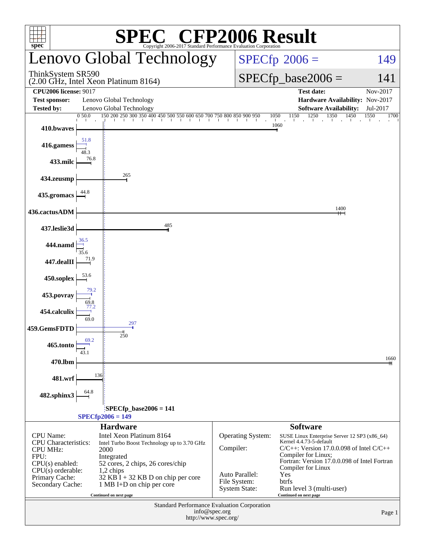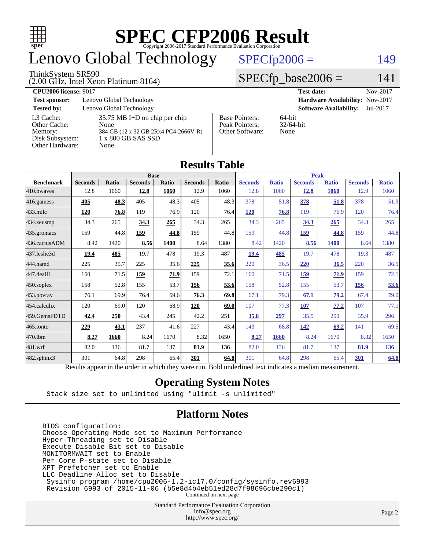

# enovo Global Technology

#### ThinkSystem SR590

(2.00 GHz, Intel Xeon Platinum 8164)

 $SPECfp2006 = 149$  $SPECfp2006 = 149$ 

### $SPECfp\_base2006 = 141$

| <b>CPU2006 license: 9017</b> |                                         |                                 | <b>Test date:</b><br>Nov-2017             |  |  |  |
|------------------------------|-----------------------------------------|---------------------------------|-------------------------------------------|--|--|--|
| <b>Test sponsor:</b>         | Lenovo Global Technology                | Hardware Availability: Nov-2017 |                                           |  |  |  |
| <b>Tested by:</b>            | Lenovo Global Technology                |                                 | <b>Software Availability:</b><br>Jul-2017 |  |  |  |
| L3 Cache:                    | $35.75 \text{ MB I+D}$ on chip per chip | <b>Base Pointers:</b>           | $64$ -bit                                 |  |  |  |
| Other Cache:                 | None                                    | Peak Pointers:                  | $32/64$ -bit                              |  |  |  |
| Memory:                      | 384 GB (12 x 32 GB 2Rx4 PC4-2666V-R)    | Other Software:                 | None                                      |  |  |  |
| Disk Subsystem:              | 1 x 800 GB SAS SSD                      |                                 |                                           |  |  |  |
| Other Hardware:              | None                                    |                                 |                                           |  |  |  |

| Results Table     |                                                                                                          |              |                |       |                |       |                |              |                |              |                |              |
|-------------------|----------------------------------------------------------------------------------------------------------|--------------|----------------|-------|----------------|-------|----------------|--------------|----------------|--------------|----------------|--------------|
|                   | <b>Base</b>                                                                                              |              |                |       |                |       | <b>Peak</b>    |              |                |              |                |              |
| <b>Benchmark</b>  | <b>Seconds</b>                                                                                           | <b>Ratio</b> | <b>Seconds</b> | Ratio | <b>Seconds</b> | Ratio | <b>Seconds</b> | <b>Ratio</b> | <b>Seconds</b> | <b>Ratio</b> | <b>Seconds</b> | <b>Ratio</b> |
| 410.bwaves        | 12.8                                                                                                     | 1060         | 12.8           | 1060  | 12.9           | 1060  | 12.8           | 1060         | <u>12.8</u>    | 1060         | 12.9           | 1060         |
| $416$ .gamess     | 405                                                                                                      | 48.3         | 405            | 48.3  | 405            | 48.3  | 378            | 51.8         | 378            | 51.8         | 378            | 51.9         |
| 433.milc          | 120                                                                                                      | 76.8         | 119            | 76.9  | 120            | 76.4  | 120            | 76.8         | 119            | 76.9         | 120            | 76.4         |
| 434.zeusmp        | 34.3                                                                                                     | 265          | 34.3           | 265   | 34.3           | 265   | 34.3           | 265          | 34.3           | 265          | 34.3           | 265          |
| $435$ .gromacs    | 159                                                                                                      | 44.8         | 159            | 44.8  | 159            | 44.8  | 159            | 44.8         | 159            | 44.8         | 159            | 44.8         |
| 436.cactusADM     | 8.42                                                                                                     | 1420         | 8.56           | 1400  | 8.64           | 1380  | 8.42           | 1420         | 8.56           | 1400         | 8.64           | 1380         |
| 437.leslie3d      | 19.4                                                                                                     | 485          | 19.7           | 478   | 19.3           | 487   | 19.4           | 485          | 19.7           | 478          | 19.3           | 487          |
| 444.namd          | 225                                                                                                      | 35.7         | 225            | 35.6  | 225            | 35.6  | 220            | 36.5         | 220            | 36.5         | 220            | 36.5         |
| $447$ .dealII     | 160                                                                                                      | 71.5         | 159            | 71.9  | 159            | 72.1  | 160            | 71.5         | 159            | 71.9         | 159            | 72.1         |
| $450$ .soplex     | 158                                                                                                      | 52.8         | 155            | 53.7  | 156            | 53.6  | 158            | 52.8         | 155            | 53.7         | 156            | 53.6         |
| $453$ .povray     | 76.1                                                                                                     | 69.9         | 76.4           | 69.6  | 76.3           | 69.8  | 67.1           | 79.3         | 67.1           | 79.2         | 67.4           | 79.0         |
| 454.calculix      | 120                                                                                                      | 69.0         | 120            | 68.9  | 120            | 69.0  | 107            | 77.3         | 107            | 77.2         | 107            | 77.1         |
| 459.GemsFDTD      | 42.4                                                                                                     | 250          | 43.4           | 245   | 42.2           | 251   | 35.8           | 297          | 35.5           | 299          | 35.9           | 296          |
| 465.tonto         | 229                                                                                                      | 43.1         | 237            | 41.6  | 227            | 43.4  | 143            | 68.8         | 142            | 69.2         | 141            | 69.5         |
| 470.1bm           | 8.27                                                                                                     | 1660         | 8.24           | 1670  | 8.32           | 1650  | 8.27           | 1660         | 8.24           | 1670         | 8.32           | 1650         |
| $ 481$ .wrf       | 82.0                                                                                                     | 136          | 81.7           | 137   | 81.9           | 136   | 82.0           | 136          | 81.7           | 137          | 81.9           | <u>136</u>   |
| $482$ .sphinx $3$ | 301                                                                                                      | 64.8         | 298            | 65.4  | 301            | 64.8  | 301            | 64.8         | 298            | 65.4         | 301            | 64.8         |
|                   | Results appear in the order in which they were run. Bold underlined text indicates a median measurement. |              |                |       |                |       |                |              |                |              |                |              |

#### **[Results Table](http://www.spec.org/auto/cpu2006/Docs/result-fields.html#ResultsTable)**

### **[Operating System Notes](http://www.spec.org/auto/cpu2006/Docs/result-fields.html#OperatingSystemNotes)**

Stack size set to unlimited using "ulimit -s unlimited"

### **[Platform Notes](http://www.spec.org/auto/cpu2006/Docs/result-fields.html#PlatformNotes)**

BIOS configuration: Choose Operating Mode set to Maximum Performance Hyper-Threading set to Disable Execute Disable Bit set to Disable MONITORMWAIT set to Enable Per Core P-state set to Disable XPT Prefetcher set to Enable LLC Deadline Alloc set to Disable Sysinfo program /home/cpu2006-1.2-ic17.0/config/sysinfo.rev6993 Revision 6993 of 2015-11-06 (b5e8d4b4eb51ed28d7f98696cbe290c1) Continued on next page

> Standard Performance Evaluation Corporation [info@spec.org](mailto:info@spec.org) <http://www.spec.org/>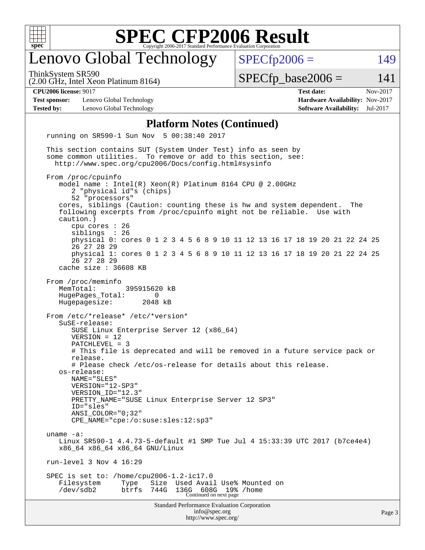

# enovo Global Technology

ThinkSystem SR590

 $SPECTp2006 = 149$ 

(2.00 GHz, Intel Xeon Platinum 8164)

 $SPECTp\_base2006 = 141$ 

**[Test sponsor:](http://www.spec.org/auto/cpu2006/Docs/result-fields.html#Testsponsor)** Lenovo Global Technology **[Hardware Availability:](http://www.spec.org/auto/cpu2006/Docs/result-fields.html#HardwareAvailability)** Nov-2017 **[Tested by:](http://www.spec.org/auto/cpu2006/Docs/result-fields.html#Testedby)** Lenovo Global Technology **[Software Availability:](http://www.spec.org/auto/cpu2006/Docs/result-fields.html#SoftwareAvailability)** Jul-2017

**[CPU2006 license:](http://www.spec.org/auto/cpu2006/Docs/result-fields.html#CPU2006license)** 9017 **[Test date:](http://www.spec.org/auto/cpu2006/Docs/result-fields.html#Testdate)** Nov-2017

#### **[Platform Notes \(Continued\)](http://www.spec.org/auto/cpu2006/Docs/result-fields.html#PlatformNotes)**

Standard Performance Evaluation Corporation [info@spec.org](mailto:info@spec.org) <http://www.spec.org/> running on SR590-1 Sun Nov 5 00:38:40 2017 This section contains SUT (System Under Test) info as seen by some common utilities. To remove or add to this section, see: <http://www.spec.org/cpu2006/Docs/config.html#sysinfo> From /proc/cpuinfo model name : Intel(R) Xeon(R) Platinum 8164 CPU @ 2.00GHz 2 "physical id"s (chips) 52 "processors" cores, siblings (Caution: counting these is hw and system dependent. The following excerpts from /proc/cpuinfo might not be reliable. Use with caution.) cpu cores : 26 siblings physical 0: cores 0 1 2 3 4 5 6 8 9 10 11 12 13 16 17 18 19 20 21 22 24 25 26 27 28 29 physical 1: cores 0 1 2 3 4 5 6 8 9 10 11 12 13 16 17 18 19 20 21 22 24 25 26 27 28 29 cache size : 36608 KB From /proc/meminfo MemTotal: 395915620 kB HugePages\_Total: 0 Hugepagesize: 2048 kB From /etc/\*release\* /etc/\*version\* SuSE-release: SUSE Linux Enterprise Server 12 (x86\_64) VERSION = 12 PATCHLEVEL = 3 # This file is deprecated and will be removed in a future service pack or release. # Please check /etc/os-release for details about this release. os-release: NAME="SLES" VERSION="12-SP3" VERSION\_ID="12.3" PRETTY\_NAME="SUSE Linux Enterprise Server 12 SP3" ID="sles" ANSI\_COLOR="0;32" CPE\_NAME="cpe:/o:suse:sles:12:sp3" uname -a: Linux SR590-1 4.4.73-5-default #1 SMP Tue Jul 4 15:33:39 UTC 2017 (b7ce4e4) x86\_64 x86\_64 x86\_64 GNU/Linux run-level 3 Nov 4 16:29 SPEC is set to: /home/cpu2006-1.2-ic17.0 Filesystem Type Size Used Avail Use% Mounted on<br>
/dev/sdb2 btrfs 744G 136G 608G 19% /home /dev/sdb2 btrfs 744G 136G 608G 19% /home Continued on next page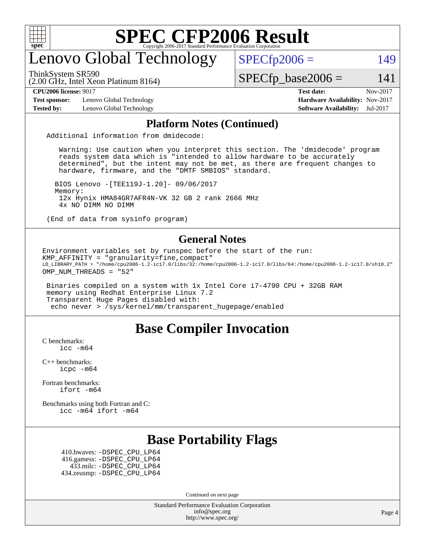

# enovo Global Technology

ThinkSystem SR590

 $SPECfp2006 = 149$  $SPECfp2006 = 149$ 

(2.00 GHz, Intel Xeon Platinum 8164)

 $SPECTp\_base2006 = 141$ 

**[Test sponsor:](http://www.spec.org/auto/cpu2006/Docs/result-fields.html#Testsponsor)** Lenovo Global Technology **[Hardware Availability:](http://www.spec.org/auto/cpu2006/Docs/result-fields.html#HardwareAvailability)** Nov-2017

**[CPU2006 license:](http://www.spec.org/auto/cpu2006/Docs/result-fields.html#CPU2006license)** 9017 **[Test date:](http://www.spec.org/auto/cpu2006/Docs/result-fields.html#Testdate)** Nov-2017 **[Tested by:](http://www.spec.org/auto/cpu2006/Docs/result-fields.html#Testedby)** Lenovo Global Technology **[Software Availability:](http://www.spec.org/auto/cpu2006/Docs/result-fields.html#SoftwareAvailability)** Jul-2017

#### **[Platform Notes \(Continued\)](http://www.spec.org/auto/cpu2006/Docs/result-fields.html#PlatformNotes)**

Additional information from dmidecode:

 Warning: Use caution when you interpret this section. The 'dmidecode' program reads system data which is "intended to allow hardware to be accurately determined", but the intent may not be met, as there are frequent changes to hardware, firmware, and the "DMTF SMBIOS" standard.

 BIOS Lenovo -[TEE119J-1.20]- 09/06/2017 Memory: 12x Hynix HMA84GR7AFR4N-VK 32 GB 2 rank 2666 MHz 4x NO DIMM NO DIMM

(End of data from sysinfo program)

#### **[General Notes](http://www.spec.org/auto/cpu2006/Docs/result-fields.html#GeneralNotes)**

Environment variables set by runspec before the start of the run: KMP\_AFFINITY = "granularity=fine,compact" LD\_LIBRARY\_PATH = "/home/cpu2006-1.2-ic17.0/libs/32:/home/cpu2006-1.2-ic17.0/libs/64:/home/cpu2006-1.2-ic17.0/sh10.2" OMP\_NUM\_THREADS = "52"

 Binaries compiled on a system with 1x Intel Core i7-4790 CPU + 32GB RAM memory using Redhat Enterprise Linux 7.2 Transparent Huge Pages disabled with: echo never > /sys/kernel/mm/transparent\_hugepage/enabled

### **[Base Compiler Invocation](http://www.spec.org/auto/cpu2006/Docs/result-fields.html#BaseCompilerInvocation)**

[C benchmarks](http://www.spec.org/auto/cpu2006/Docs/result-fields.html#Cbenchmarks): icc  $-m64$ 

[C++ benchmarks:](http://www.spec.org/auto/cpu2006/Docs/result-fields.html#CXXbenchmarks) [icpc -m64](http://www.spec.org/cpu2006/results/res2017q4/cpu2006-20171114-50586.flags.html#user_CXXbase_intel_icpc_64bit_fc66a5337ce925472a5c54ad6a0de310)

[Fortran benchmarks](http://www.spec.org/auto/cpu2006/Docs/result-fields.html#Fortranbenchmarks): [ifort -m64](http://www.spec.org/cpu2006/results/res2017q4/cpu2006-20171114-50586.flags.html#user_FCbase_intel_ifort_64bit_ee9d0fb25645d0210d97eb0527dcc06e)

[Benchmarks using both Fortran and C](http://www.spec.org/auto/cpu2006/Docs/result-fields.html#BenchmarksusingbothFortranandC): [icc -m64](http://www.spec.org/cpu2006/results/res2017q4/cpu2006-20171114-50586.flags.html#user_CC_FCbase_intel_icc_64bit_bda6cc9af1fdbb0edc3795bac97ada53) [ifort -m64](http://www.spec.org/cpu2006/results/res2017q4/cpu2006-20171114-50586.flags.html#user_CC_FCbase_intel_ifort_64bit_ee9d0fb25645d0210d97eb0527dcc06e)

### **[Base Portability Flags](http://www.spec.org/auto/cpu2006/Docs/result-fields.html#BasePortabilityFlags)**

 410.bwaves: [-DSPEC\\_CPU\\_LP64](http://www.spec.org/cpu2006/results/res2017q4/cpu2006-20171114-50586.flags.html#suite_basePORTABILITY410_bwaves_DSPEC_CPU_LP64) 416.gamess: [-DSPEC\\_CPU\\_LP64](http://www.spec.org/cpu2006/results/res2017q4/cpu2006-20171114-50586.flags.html#suite_basePORTABILITY416_gamess_DSPEC_CPU_LP64) 433.milc: [-DSPEC\\_CPU\\_LP64](http://www.spec.org/cpu2006/results/res2017q4/cpu2006-20171114-50586.flags.html#suite_basePORTABILITY433_milc_DSPEC_CPU_LP64) 434.zeusmp: [-DSPEC\\_CPU\\_LP64](http://www.spec.org/cpu2006/results/res2017q4/cpu2006-20171114-50586.flags.html#suite_basePORTABILITY434_zeusmp_DSPEC_CPU_LP64)

Continued on next page

Standard Performance Evaluation Corporation [info@spec.org](mailto:info@spec.org) <http://www.spec.org/>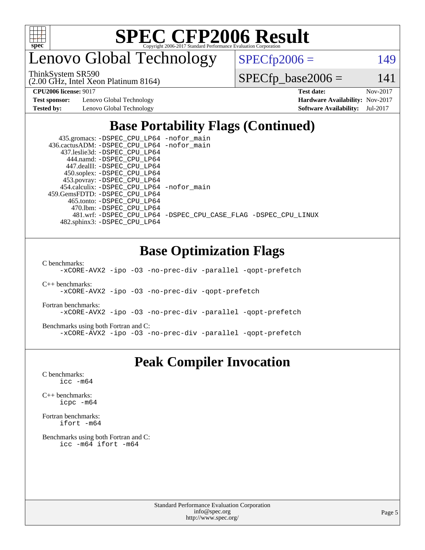

enovo Global Technology

ThinkSystem SR590

 $SPECfp2006 = 149$  $SPECfp2006 = 149$ 

(2.00 GHz, Intel Xeon Platinum 8164)

 $SPECTp\_base2006 = 141$ 

**[Test sponsor:](http://www.spec.org/auto/cpu2006/Docs/result-fields.html#Testsponsor)** Lenovo Global Technology **[Hardware Availability:](http://www.spec.org/auto/cpu2006/Docs/result-fields.html#HardwareAvailability)** Nov-2017

**[CPU2006 license:](http://www.spec.org/auto/cpu2006/Docs/result-fields.html#CPU2006license)** 9017 **[Test date:](http://www.spec.org/auto/cpu2006/Docs/result-fields.html#Testdate)** Nov-2017 **[Tested by:](http://www.spec.org/auto/cpu2006/Docs/result-fields.html#Testedby)** Lenovo Global Technology **[Software Availability:](http://www.spec.org/auto/cpu2006/Docs/result-fields.html#SoftwareAvailability)** Jul-2017

# **[Base Portability Flags \(Continued\)](http://www.spec.org/auto/cpu2006/Docs/result-fields.html#BasePortabilityFlags)**

 435.gromacs: [-DSPEC\\_CPU\\_LP64](http://www.spec.org/cpu2006/results/res2017q4/cpu2006-20171114-50586.flags.html#suite_basePORTABILITY435_gromacs_DSPEC_CPU_LP64) [-nofor\\_main](http://www.spec.org/cpu2006/results/res2017q4/cpu2006-20171114-50586.flags.html#user_baseLDPORTABILITY435_gromacs_f-nofor_main) 436.cactusADM: [-DSPEC\\_CPU\\_LP64](http://www.spec.org/cpu2006/results/res2017q4/cpu2006-20171114-50586.flags.html#suite_basePORTABILITY436_cactusADM_DSPEC_CPU_LP64) [-nofor\\_main](http://www.spec.org/cpu2006/results/res2017q4/cpu2006-20171114-50586.flags.html#user_baseLDPORTABILITY436_cactusADM_f-nofor_main) 437.leslie3d: [-DSPEC\\_CPU\\_LP64](http://www.spec.org/cpu2006/results/res2017q4/cpu2006-20171114-50586.flags.html#suite_basePORTABILITY437_leslie3d_DSPEC_CPU_LP64) 444.namd: [-DSPEC\\_CPU\\_LP64](http://www.spec.org/cpu2006/results/res2017q4/cpu2006-20171114-50586.flags.html#suite_basePORTABILITY444_namd_DSPEC_CPU_LP64) 447.dealII: [-DSPEC\\_CPU\\_LP64](http://www.spec.org/cpu2006/results/res2017q4/cpu2006-20171114-50586.flags.html#suite_basePORTABILITY447_dealII_DSPEC_CPU_LP64) 450.soplex: [-DSPEC\\_CPU\\_LP64](http://www.spec.org/cpu2006/results/res2017q4/cpu2006-20171114-50586.flags.html#suite_basePORTABILITY450_soplex_DSPEC_CPU_LP64) 453.povray: [-DSPEC\\_CPU\\_LP64](http://www.spec.org/cpu2006/results/res2017q4/cpu2006-20171114-50586.flags.html#suite_basePORTABILITY453_povray_DSPEC_CPU_LP64) 454.calculix: [-DSPEC\\_CPU\\_LP64](http://www.spec.org/cpu2006/results/res2017q4/cpu2006-20171114-50586.flags.html#suite_basePORTABILITY454_calculix_DSPEC_CPU_LP64) [-nofor\\_main](http://www.spec.org/cpu2006/results/res2017q4/cpu2006-20171114-50586.flags.html#user_baseLDPORTABILITY454_calculix_f-nofor_main) 459.GemsFDTD: [-DSPEC\\_CPU\\_LP64](http://www.spec.org/cpu2006/results/res2017q4/cpu2006-20171114-50586.flags.html#suite_basePORTABILITY459_GemsFDTD_DSPEC_CPU_LP64) 465.tonto: [-DSPEC\\_CPU\\_LP64](http://www.spec.org/cpu2006/results/res2017q4/cpu2006-20171114-50586.flags.html#suite_basePORTABILITY465_tonto_DSPEC_CPU_LP64) 470.lbm: [-DSPEC\\_CPU\\_LP64](http://www.spec.org/cpu2006/results/res2017q4/cpu2006-20171114-50586.flags.html#suite_basePORTABILITY470_lbm_DSPEC_CPU_LP64) 481.wrf: [-DSPEC\\_CPU\\_LP64](http://www.spec.org/cpu2006/results/res2017q4/cpu2006-20171114-50586.flags.html#suite_basePORTABILITY481_wrf_DSPEC_CPU_LP64) [-DSPEC\\_CPU\\_CASE\\_FLAG](http://www.spec.org/cpu2006/results/res2017q4/cpu2006-20171114-50586.flags.html#b481.wrf_baseCPORTABILITY_DSPEC_CPU_CASE_FLAG) [-DSPEC\\_CPU\\_LINUX](http://www.spec.org/cpu2006/results/res2017q4/cpu2006-20171114-50586.flags.html#b481.wrf_baseCPORTABILITY_DSPEC_CPU_LINUX) 482.sphinx3: [-DSPEC\\_CPU\\_LP64](http://www.spec.org/cpu2006/results/res2017q4/cpu2006-20171114-50586.flags.html#suite_basePORTABILITY482_sphinx3_DSPEC_CPU_LP64)

# **[Base Optimization Flags](http://www.spec.org/auto/cpu2006/Docs/result-fields.html#BaseOptimizationFlags)**

[C benchmarks](http://www.spec.org/auto/cpu2006/Docs/result-fields.html#Cbenchmarks):

[-xCORE-AVX2](http://www.spec.org/cpu2006/results/res2017q4/cpu2006-20171114-50586.flags.html#user_CCbase_f-xCORE-AVX2) [-ipo](http://www.spec.org/cpu2006/results/res2017q4/cpu2006-20171114-50586.flags.html#user_CCbase_f-ipo) [-O3](http://www.spec.org/cpu2006/results/res2017q4/cpu2006-20171114-50586.flags.html#user_CCbase_f-O3) [-no-prec-div](http://www.spec.org/cpu2006/results/res2017q4/cpu2006-20171114-50586.flags.html#user_CCbase_f-no-prec-div) [-parallel](http://www.spec.org/cpu2006/results/res2017q4/cpu2006-20171114-50586.flags.html#user_CCbase_f-parallel) [-qopt-prefetch](http://www.spec.org/cpu2006/results/res2017q4/cpu2006-20171114-50586.flags.html#user_CCbase_f-qopt-prefetch)

[C++ benchmarks:](http://www.spec.org/auto/cpu2006/Docs/result-fields.html#CXXbenchmarks)

[-xCORE-AVX2](http://www.spec.org/cpu2006/results/res2017q4/cpu2006-20171114-50586.flags.html#user_CXXbase_f-xCORE-AVX2) [-ipo](http://www.spec.org/cpu2006/results/res2017q4/cpu2006-20171114-50586.flags.html#user_CXXbase_f-ipo) [-O3](http://www.spec.org/cpu2006/results/res2017q4/cpu2006-20171114-50586.flags.html#user_CXXbase_f-O3) [-no-prec-div](http://www.spec.org/cpu2006/results/res2017q4/cpu2006-20171114-50586.flags.html#user_CXXbase_f-no-prec-div) [-qopt-prefetch](http://www.spec.org/cpu2006/results/res2017q4/cpu2006-20171114-50586.flags.html#user_CXXbase_f-qopt-prefetch)

[Fortran benchmarks](http://www.spec.org/auto/cpu2006/Docs/result-fields.html#Fortranbenchmarks):

[-xCORE-AVX2](http://www.spec.org/cpu2006/results/res2017q4/cpu2006-20171114-50586.flags.html#user_FCbase_f-xCORE-AVX2) [-ipo](http://www.spec.org/cpu2006/results/res2017q4/cpu2006-20171114-50586.flags.html#user_FCbase_f-ipo) [-O3](http://www.spec.org/cpu2006/results/res2017q4/cpu2006-20171114-50586.flags.html#user_FCbase_f-O3) [-no-prec-div](http://www.spec.org/cpu2006/results/res2017q4/cpu2006-20171114-50586.flags.html#user_FCbase_f-no-prec-div) [-parallel](http://www.spec.org/cpu2006/results/res2017q4/cpu2006-20171114-50586.flags.html#user_FCbase_f-parallel) [-qopt-prefetch](http://www.spec.org/cpu2006/results/res2017q4/cpu2006-20171114-50586.flags.html#user_FCbase_f-qopt-prefetch)

[Benchmarks using both Fortran and C](http://www.spec.org/auto/cpu2006/Docs/result-fields.html#BenchmarksusingbothFortranandC):

[-xCORE-AVX2](http://www.spec.org/cpu2006/results/res2017q4/cpu2006-20171114-50586.flags.html#user_CC_FCbase_f-xCORE-AVX2) [-ipo](http://www.spec.org/cpu2006/results/res2017q4/cpu2006-20171114-50586.flags.html#user_CC_FCbase_f-ipo) [-O3](http://www.spec.org/cpu2006/results/res2017q4/cpu2006-20171114-50586.flags.html#user_CC_FCbase_f-O3) [-no-prec-div](http://www.spec.org/cpu2006/results/res2017q4/cpu2006-20171114-50586.flags.html#user_CC_FCbase_f-no-prec-div) [-parallel](http://www.spec.org/cpu2006/results/res2017q4/cpu2006-20171114-50586.flags.html#user_CC_FCbase_f-parallel) [-qopt-prefetch](http://www.spec.org/cpu2006/results/res2017q4/cpu2006-20171114-50586.flags.html#user_CC_FCbase_f-qopt-prefetch)

### **[Peak Compiler Invocation](http://www.spec.org/auto/cpu2006/Docs/result-fields.html#PeakCompilerInvocation)**

[C benchmarks](http://www.spec.org/auto/cpu2006/Docs/result-fields.html#Cbenchmarks): [icc -m64](http://www.spec.org/cpu2006/results/res2017q4/cpu2006-20171114-50586.flags.html#user_CCpeak_intel_icc_64bit_bda6cc9af1fdbb0edc3795bac97ada53)

[C++ benchmarks:](http://www.spec.org/auto/cpu2006/Docs/result-fields.html#CXXbenchmarks) [icpc -m64](http://www.spec.org/cpu2006/results/res2017q4/cpu2006-20171114-50586.flags.html#user_CXXpeak_intel_icpc_64bit_fc66a5337ce925472a5c54ad6a0de310)

[Fortran benchmarks](http://www.spec.org/auto/cpu2006/Docs/result-fields.html#Fortranbenchmarks): [ifort -m64](http://www.spec.org/cpu2006/results/res2017q4/cpu2006-20171114-50586.flags.html#user_FCpeak_intel_ifort_64bit_ee9d0fb25645d0210d97eb0527dcc06e)

[Benchmarks using both Fortran and C](http://www.spec.org/auto/cpu2006/Docs/result-fields.html#BenchmarksusingbothFortranandC): [icc -m64](http://www.spec.org/cpu2006/results/res2017q4/cpu2006-20171114-50586.flags.html#user_CC_FCpeak_intel_icc_64bit_bda6cc9af1fdbb0edc3795bac97ada53) [ifort -m64](http://www.spec.org/cpu2006/results/res2017q4/cpu2006-20171114-50586.flags.html#user_CC_FCpeak_intel_ifort_64bit_ee9d0fb25645d0210d97eb0527dcc06e)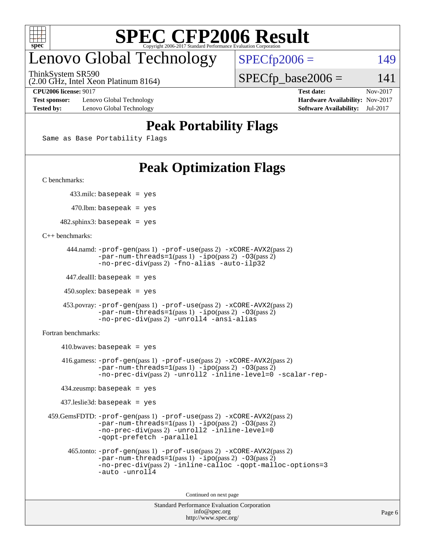

# enovo Global Technology

ThinkSystem SR590

 $SPECTp2006 = 149$ 

 $SPECTp\_base2006 = 141$ 

(2.00 GHz, Intel Xeon Platinum 8164)

**[Test sponsor:](http://www.spec.org/auto/cpu2006/Docs/result-fields.html#Testsponsor)** Lenovo Global Technology **[Hardware Availability:](http://www.spec.org/auto/cpu2006/Docs/result-fields.html#HardwareAvailability)** Nov-2017 **[Tested by:](http://www.spec.org/auto/cpu2006/Docs/result-fields.html#Testedby)** Lenovo Global Technology **[Software Availability:](http://www.spec.org/auto/cpu2006/Docs/result-fields.html#SoftwareAvailability)** Jul-2017

**[CPU2006 license:](http://www.spec.org/auto/cpu2006/Docs/result-fields.html#CPU2006license)** 9017 **[Test date:](http://www.spec.org/auto/cpu2006/Docs/result-fields.html#Testdate)** Nov-2017

# **[Peak Portability Flags](http://www.spec.org/auto/cpu2006/Docs/result-fields.html#PeakPortabilityFlags)**

Same as Base Portability Flags

# **[Peak Optimization Flags](http://www.spec.org/auto/cpu2006/Docs/result-fields.html#PeakOptimizationFlags)**

[C benchmarks](http://www.spec.org/auto/cpu2006/Docs/result-fields.html#Cbenchmarks):

433.milc: basepeak = yes

 $470.$ lbm: basepeak = yes

 $482$ .sphinx3: basepeak = yes

[C++ benchmarks:](http://www.spec.org/auto/cpu2006/Docs/result-fields.html#CXXbenchmarks)

```
 444.namd: -prof-gen(pass 1) -prof-use(pass 2) -xCORE-AVX2(pass 2)
        -par-num-threads=1(pass 1) -ipo(pass 2) -O3(pass 2)
        -no-prec-div(pass 2) -fno-alias -auto-ilp32
```
447.dealII: basepeak = yes

 $450$ .soplex: basepeak = yes

```
 453.povray: -prof-gen(pass 1) -prof-use(pass 2) -xCORE-AVX2(pass 2)
         -par-num-threads=1-ipo-O3(pass 2)-no-prec-div(pass 2) -unroll4 -ansi-alias
```
[Fortran benchmarks](http://www.spec.org/auto/cpu2006/Docs/result-fields.html#Fortranbenchmarks):

```
410.bwaves: basepeak = yes 416.gamess: -prof-gen(pass 1) -prof-use(pass 2) -xCORE-AVX2(pass 2)
            -par-num-threads=1-ipo-O3(pass 2)-no-prec-div(pass 2) -unroll2 -inline-level=0 -scalar-rep-
    434.zeusmp: basepeak = yes
    437.leslie3d: basepeak = yes
 459.GemsFDTD: -prof-gen(pass 1) -prof-use(pass 2) -xCORE-AVX2(pass 2)
            -par-num-threads=1-ipo-O3(pass 2)-no-prec-div(pass 2) -unroll2 -inline-level=0
            -qopt-prefetch -parallel
      465.tonto: -prof-gen(pass 1) -prof-use(pass 2) -xCORE-AVX2(pass 2)
            -par-num-threads=1(pass 1) -ipo(pass 2) -O3(pass 2)
            -no-prec-div-inline-calloc-qopt-malloc-options=3
            -auto -unroll4
```
Continued on next page

```
Standard Performance Evaluation Corporation
             info@spec.org
           http://www.spec.org/
```